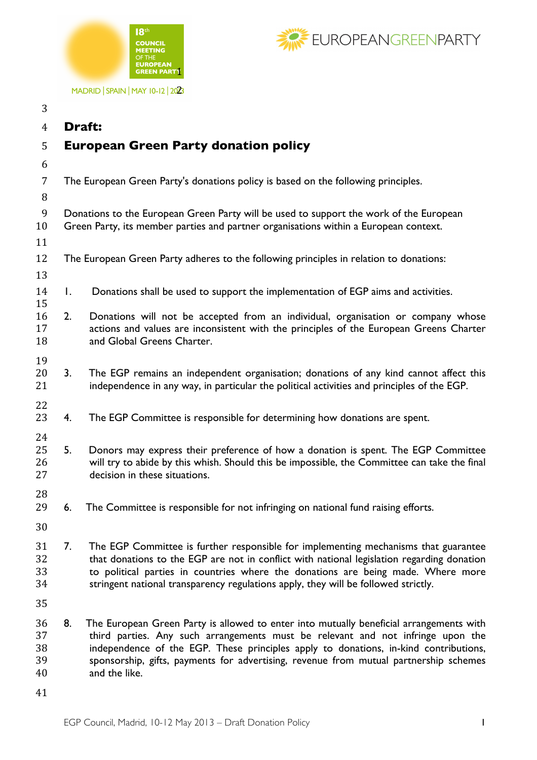



MADRID | SPAIN | MAY 10-12 | 2023

| 3                          |                                                                                                                                                                                |                                                                                                                                                                                                                                                                                                                                                                              |
|----------------------------|--------------------------------------------------------------------------------------------------------------------------------------------------------------------------------|------------------------------------------------------------------------------------------------------------------------------------------------------------------------------------------------------------------------------------------------------------------------------------------------------------------------------------------------------------------------------|
| $\overline{4}$             | <b>Draft:</b>                                                                                                                                                                  |                                                                                                                                                                                                                                                                                                                                                                              |
| 5                          | <b>European Green Party donation policy</b>                                                                                                                                    |                                                                                                                                                                                                                                                                                                                                                                              |
| 6                          |                                                                                                                                                                                |                                                                                                                                                                                                                                                                                                                                                                              |
| 7<br>8                     |                                                                                                                                                                                | The European Green Party's donations policy is based on the following principles.                                                                                                                                                                                                                                                                                            |
| 9<br>10<br>11              | Donations to the European Green Party will be used to support the work of the European<br>Green Party, its member parties and partner organisations within a European context. |                                                                                                                                                                                                                                                                                                                                                                              |
| 12<br>13                   |                                                                                                                                                                                | The European Green Party adheres to the following principles in relation to donations:                                                                                                                                                                                                                                                                                       |
| 14<br>15                   | Ι.                                                                                                                                                                             | Donations shall be used to support the implementation of EGP aims and activities.                                                                                                                                                                                                                                                                                            |
| 16<br>17<br>18             | 2.                                                                                                                                                                             | Donations will not be accepted from an individual, organisation or company whose<br>actions and values are inconsistent with the principles of the European Greens Charter<br>and Global Greens Charter.                                                                                                                                                                     |
| 19<br>20<br>21             | 3.                                                                                                                                                                             | The EGP remains an independent organisation; donations of any kind cannot affect this<br>independence in any way, in particular the political activities and principles of the EGP.                                                                                                                                                                                          |
| 22<br>23                   | 4.                                                                                                                                                                             | The EGP Committee is responsible for determining how donations are spent.                                                                                                                                                                                                                                                                                                    |
| 24<br>25<br>26<br>27       | 5.                                                                                                                                                                             | Donors may express their preference of how a donation is spent. The EGP Committee<br>will try to abide by this whish. Should this be impossible, the Committee can take the final<br>decision in these situations.                                                                                                                                                           |
| 28<br>29                   | 6.                                                                                                                                                                             | The Committee is responsible for not infringing on national fund raising efforts.                                                                                                                                                                                                                                                                                            |
| 30                         |                                                                                                                                                                                |                                                                                                                                                                                                                                                                                                                                                                              |
| 31<br>32<br>33<br>34       | 7.                                                                                                                                                                             | The EGP Committee is further responsible for implementing mechanisms that guarantee<br>that donations to the EGP are not in conflict with national legislation regarding donation<br>to political parties in countries where the donations are being made. Where more<br>stringent national transparency regulations apply, they will be followed strictly.                  |
| 35                         |                                                                                                                                                                                |                                                                                                                                                                                                                                                                                                                                                                              |
| 36<br>37<br>38<br>39<br>40 | 8.                                                                                                                                                                             | The European Green Party is allowed to enter into mutually beneficial arrangements with<br>third parties. Any such arrangements must be relevant and not infringe upon the<br>independence of the EGP. These principles apply to donations, in-kind contributions,<br>sponsorship, gifts, payments for advertising, revenue from mutual partnership schemes<br>and the like. |
| 41                         |                                                                                                                                                                                |                                                                                                                                                                                                                                                                                                                                                                              |